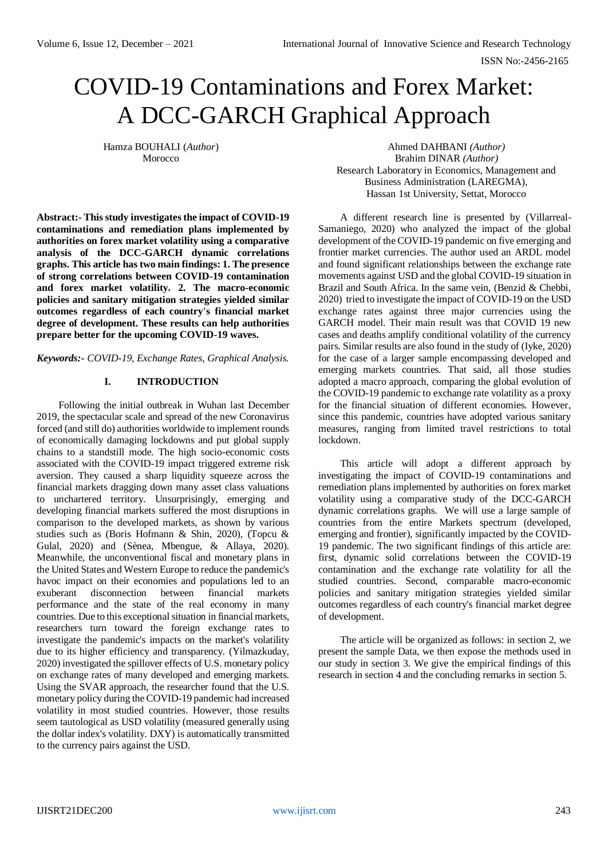# COVID-19 Contaminations and Forex Market: A DCC-GARCH Graphical Approach

Hamza BOUHALI (*Author*) Morocco

**Abstract:- This study investigates the impact of COVID-19 contaminations and remediation plans implemented by authorities on forex market volatility using a comparative analysis of the DCC-GARCH dynamic correlations graphs. This article has two main findings: 1. The presence of strong correlations between COVID-19 contamination and forex market volatility. 2. The macro-economic policies and sanitary mitigation strategies yielded similar outcomes regardless of each country's financial market degree of development. These results can help authorities prepare better for the upcoming COVID-19 waves.**

*Keywords:- COVID-19, Exchange Rates, Graphical Analysis.*

# **I. INTRODUCTION**

Following the initial outbreak in Wuhan last December 2019, the spectacular scale and spread of the new Coronavirus forced (and still do) authorities worldwide to implement rounds of economically damaging lockdowns and put global supply chains to a standstill mode. The high socio-economic costs associated with the COVID-19 impact triggered extreme risk aversion. They caused a sharp liquidity squeeze across the financial markets dragging down many asset class valuations to unchartered territory. Unsurprisingly, emerging and developing financial markets suffered the most disruptions in comparison to the developed markets, as shown by various studies such as (Boris Hofmann & Shin, 2020), (Topcu & Gulal, 2020) and (Sènea, Mbengue, & Allaya, 2020). Meanwhile, the unconventional fiscal and monetary plans in the United States and Western Europe to reduce the pandemic's havoc impact on their economies and populations led to an exuberant disconnection between financial markets performance and the state of the real economy in many countries. Due to this exceptional situation in financial markets, researchers turn toward the foreign exchange rates to investigate the pandemic's impacts on the market's volatility due to its higher efficiency and transparency. (Yilmazkuday, 2020) investigated the spillover effects of U.S. monetary policy on exchange rates of many developed and emerging markets. Using the SVAR approach, the researcher found that the U.S. monetary policy during the COVID-19 pandemic had increased volatility in most studied countries. However, those results seem tautological as USD volatility (measured generally using the dollar index's volatility. DXY) is automatically transmitted to the currency pairs against the USD.

Ahmed DAHBANI *(Author)* Brahim DINAR *(Author)* Research Laboratory in Economics, Management and Business Administration (LAREGMA), Hassan 1st University, Settat, Morocco

A different research line is presented by (Villarreal-Samaniego, 2020) who analyzed the impact of the global development of the COVID-19 pandemic on five emerging and frontier market currencies. The author used an ARDL model and found significant relationships between the exchange rate movements against USD and the global COVID-19 situation in Brazil and South Africa. In the same vein, (Benzid & Chebbi, 2020) tried to investigate the impact of COVID-19 on the USD exchange rates against three major currencies using the GARCH model. Their main result was that COVID 19 new cases and deaths amplify conditional volatility of the currency pairs. Similar results are also found in the study of (Iyke, 2020) for the case of a larger sample encompassing developed and emerging markets countries. That said, all those studies adopted a macro approach, comparing the global evolution of the COVID-19 pandemic to exchange rate volatility as a proxy for the financial situation of different economies. However, since this pandemic, countries have adopted various sanitary measures, ranging from limited travel restrictions to total lockdown.

This article will adopt a different approach by investigating the impact of COVID-19 contaminations and remediation plans implemented by authorities on forex market volatility using a comparative study of the DCC-GARCH dynamic correlations graphs. We will use a large sample of countries from the entire Markets spectrum (developed, emerging and frontier), significantly impacted by the COVID-19 pandemic. The two significant findings of this article are: first, dynamic solid correlations between the COVID-19 contamination and the exchange rate volatility for all the studied countries. Second, comparable macro-economic policies and sanitary mitigation strategies yielded similar outcomes regardless of each country's financial market degree of development.

The article will be organized as follows: in section 2, we present the sample Data, we then expose the methods used in our study in section 3. We give the empirical findings of this research in section 4 and the concluding remarks in section 5.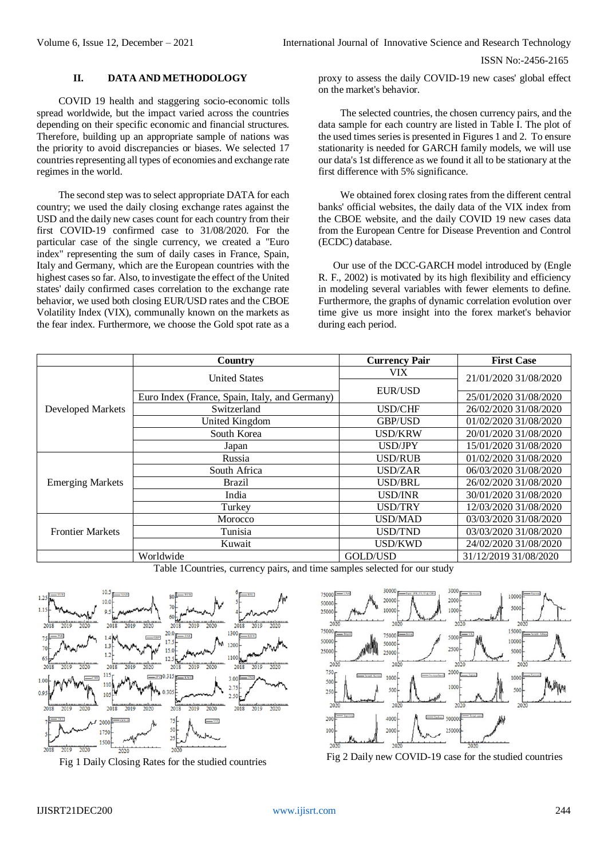#### **II. DATA AND METHODOLOGY**

COVID 19 health and staggering socio-economic tolls spread worldwide, but the impact varied across the countries depending on their specific economic and financial structures. Therefore, building up an appropriate sample of nations was the priority to avoid discrepancies or biases. We selected 17 countries representing all types of economies and exchange rate regimes in the world.

The second step was to select appropriate DATA for each country; we used the daily closing exchange rates against the USD and the daily new cases count for each country from their first COVID-19 confirmed case to 31/08/2020. For the particular case of the single currency, we created a "Euro index" representing the sum of daily cases in France, Spain, Italy and Germany, which are the European countries with the highest cases so far. Also, to investigate the effect of the United states' daily confirmed cases correlation to the exchange rate behavior, we used both closing EUR/USD rates and the CBOE Volatility Index (VIX), communally known on the markets as the fear index. Furthermore, we choose the Gold spot rate as a proxy to assess the daily COVID-19 new cases' global effect on the market's behavior.

The selected countries, the chosen currency pairs, and the data sample for each country are listed in Table I. The plot of the used times series is presented in Figures 1 and 2. To ensure stationarity is needed for GARCH family models, we will use our data's 1st difference as we found it all to be stationary at the first difference with 5% significance.

We obtained forex closing rates from the different central banks' official websites, the daily data of the VIX index from the CBOE website, and the daily COVID 19 new cases data from the European Centre for Disease Prevention and Control (ECDC) database.

Our use of the DCC-GARCH model introduced by (Engle R. F., 2002) is motivated by its high flexibility and efficiency in modeling several variables with fewer elements to define. Furthermore, the graphs of dynamic correlation evolution over time give us more insight into the forex market's behavior during each period.

|                          | Country                                        | <b>Currency Pair</b> | <b>First Case</b>     |
|--------------------------|------------------------------------------------|----------------------|-----------------------|
| <b>Developed Markets</b> | <b>United States</b>                           | VIX                  | 21/01/2020 31/08/2020 |
|                          |                                                | <b>EUR/USD</b>       |                       |
|                          | Euro Index (France, Spain, Italy, and Germany) |                      | 25/01/2020 31/08/2020 |
|                          | Switzerland                                    | USD/CHF              | 26/02/2020 31/08/2020 |
|                          | United Kingdom                                 | <b>GBP/USD</b>       | 01/02/2020 31/08/2020 |
|                          | South Korea                                    | <b>USD/KRW</b>       | 20/01/2020 31/08/2020 |
|                          | Japan                                          | USD/JPY              | 15/01/2020 31/08/2020 |
| <b>Emerging Markets</b>  | Russia                                         | USD/RUB              | 01/02/2020 31/08/2020 |
|                          | South Africa                                   | USD/ZAR              | 06/03/2020 31/08/2020 |
|                          | <b>Brazil</b>                                  | USD/BRL              | 26/02/2020 31/08/2020 |
|                          | India                                          | USD/INR              | 30/01/2020 31/08/2020 |
|                          | Turkey                                         | <b>USD/TRY</b>       | 12/03/2020 31/08/2020 |
| <b>Frontier Markets</b>  | Morocco                                        | <b>USD/MAD</b>       | 03/03/2020 31/08/2020 |
|                          | Tunisia                                        | <b>USD/TND</b>       | 03/03/2020 31/08/2020 |
|                          | Kuwait                                         | USD/KWD              | 24/02/2020 31/08/2020 |
|                          | Worldwide                                      | GOLD/USD             | 31/12/2019 31/08/2020 |

Table 1Countries, currency pairs, and time samples selected for our study





Fig 1 Daily Closing Rates for the studied countries Fig 2 Daily new COVID-19 case for the studied countries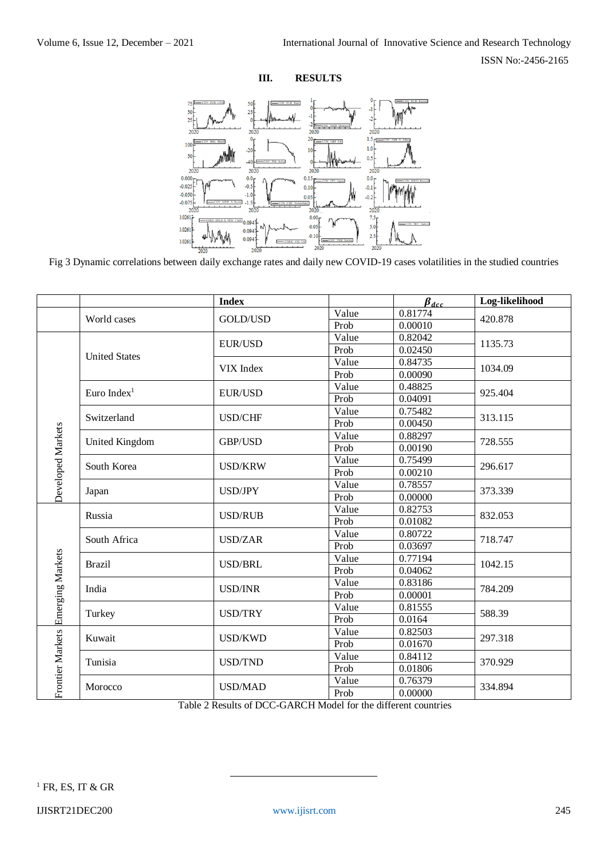ISSN No:-2456-2165





Fig 3 Dynamic correlations between daily exchange rates and daily new COVID-19 cases volatilities in the studied countries

|                   |                         | <b>Index</b>   |       | $\beta_{dcc}$ | Log-likelihood |
|-------------------|-------------------------|----------------|-------|---------------|----------------|
|                   | World cases             |                | Value | 0.81774       | 420.878        |
|                   |                         | GOLD/USD       | Prob  | 0.00010       |                |
|                   | <b>United States</b>    | <b>EUR/USD</b> | Value | 0.82042       | 1135.73        |
|                   |                         |                | Prob  | 0.02450       |                |
|                   |                         | VIX Index      | Value | 0.84735       | 1034.09        |
|                   |                         |                | Prob  | 0.00090       |                |
|                   | Euro Index <sup>1</sup> | <b>EUR/USD</b> | Value | 0.48825       | 925.404        |
|                   |                         |                | Prob  | 0.04091       |                |
|                   | Switzerland             | USD/CHF        | Value | 0.75482       | 313.115        |
|                   |                         |                | Prob  | 0.00450       |                |
|                   | United Kingdom          | GBP/USD        | Value | 0.88297       | 728.555        |
|                   |                         |                | Prob  | 0.00190       |                |
| Developed Markets | South Korea             | <b>USD/KRW</b> | Value | 0.75499       | 296.617        |
|                   |                         |                | Prob  | 0.00210       |                |
|                   |                         | USD/JPY        | Value | 0.78557       | 373.339        |
|                   | Japan                   |                | Prob  | 0.00000       |                |
| Emerging Markets  | Russia                  | <b>USD/RUB</b> | Value | 0.82753       | 832.053        |
|                   |                         |                | Prob  | 0.01082       |                |
|                   | South Africa            | <b>USD/ZAR</b> | Value | 0.80722       | 718.747        |
|                   |                         |                | Prob  | 0.03697       |                |
|                   | <b>Brazil</b>           | <b>USD/BRL</b> | Value | 0.77194       | 1042.15        |
|                   |                         |                | Prob  | 0.04062       |                |
|                   | India                   | <b>USD/INR</b> | Value | 0.83186       | 784.209        |
|                   |                         |                | Prob  | 0.00001       |                |
|                   | Turkey                  | <b>USD/TRY</b> | Value | 0.81555       | 588.39         |
|                   |                         |                | Prob  | 0.0164        |                |
| Frontier Markets  | Kuwait                  | <b>USD/KWD</b> | Value | 0.82503       | 297.318        |
|                   |                         |                | Prob  | 0.01670       |                |
|                   | Tunisia                 | <b>USD/TND</b> | Value | 0.84112       | 370.929        |
|                   |                         |                | Prob  | 0.01806       |                |
|                   | Morocco                 | <b>USD/MAD</b> | Value | 0.76379       | 334.894        |
|                   |                         |                | Prob  | 0.00000       |                |

Table 2 Results of DCC-GARCH Model for the different countries

1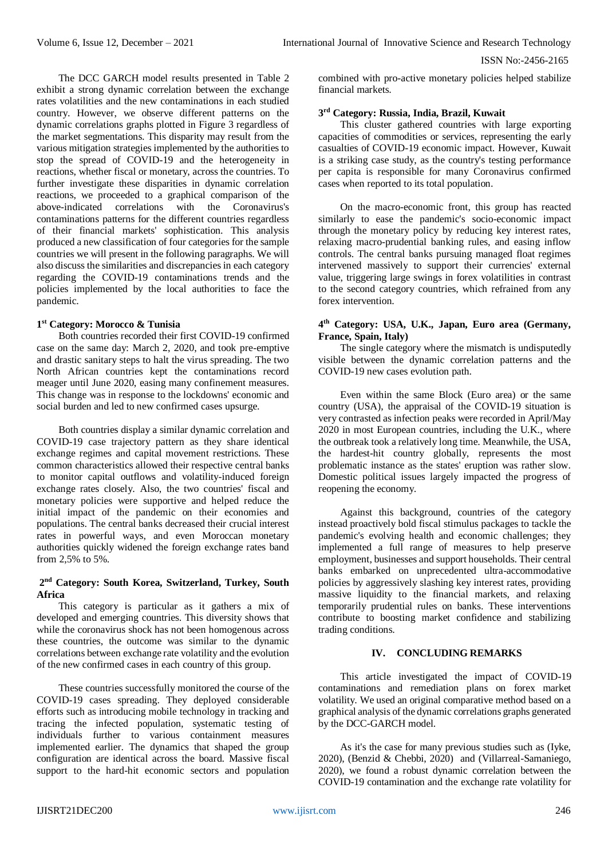#### ISSN No:-2456-2165

The DCC GARCH model results presented in Table 2 exhibit a strong dynamic correlation between the exchange rates volatilities and the new contaminations in each studied country. However, we observe different patterns on the dynamic correlations graphs plotted in Figure 3 regardless of the market segmentations. This disparity may result from the various mitigation strategies implemented by the authorities to stop the spread of COVID-19 and the heterogeneity in reactions, whether fiscal or monetary, across the countries. To further investigate these disparities in dynamic correlation reactions, we proceeded to a graphical comparison of the above-indicated correlations with the Coronavirus's contaminations patterns for the different countries regardless of their financial markets' sophistication. This analysis produced a new classification of four categories for the sample countries we will present in the following paragraphs. We will also discuss the similarities and discrepancies in each category regarding the COVID-19 contaminations trends and the policies implemented by the local authorities to face the pandemic.

#### **1 st Category: Morocco & Tunisia**

Both countries recorded their first COVID-19 confirmed case on the same day: March 2, 2020, and took pre-emptive and drastic sanitary steps to halt the virus spreading. The two North African countries kept the contaminations record meager until June 2020, easing many confinement measures. This change was in response to the lockdowns' economic and social burden and led to new confirmed cases upsurge.

Both countries display a similar dynamic correlation and COVID-19 case trajectory pattern as they share identical exchange regimes and capital movement restrictions. These common characteristics allowed their respective central banks to monitor capital outflows and volatility-induced foreign exchange rates closely. Also, the two countries' fiscal and monetary policies were supportive and helped reduce the initial impact of the pandemic on their economies and populations. The central banks decreased their crucial interest rates in powerful ways, and even Moroccan monetary authorities quickly widened the foreign exchange rates band from 2,5% to 5%.

#### **2 nd Category: South Korea, Switzerland, Turkey, South Africa**

This category is particular as it gathers a mix of developed and emerging countries. This diversity shows that while the coronavirus shock has not been homogenous across these countries, the outcome was similar to the dynamic correlations between exchange rate volatility and the evolution of the new confirmed cases in each country of this group.

These countries successfully monitored the course of the COVID-19 cases spreading. They deployed considerable efforts such as introducing mobile technology in tracking and tracing the infected population, systematic testing of individuals further to various containment measures implemented earlier. The dynamics that shaped the group configuration are identical across the board. Massive fiscal support to the hard-hit economic sectors and population combined with pro-active monetary policies helped stabilize financial markets.

# **3 rd Category: Russia, India, Brazil, Kuwait**

This cluster gathered countries with large exporting capacities of commodities or services, representing the early casualties of COVID-19 economic impact. However, Kuwait is a striking case study, as the country's testing performance per capita is responsible for many Coronavirus confirmed cases when reported to its total population.

On the macro-economic front, this group has reacted similarly to ease the pandemic's socio-economic impact through the monetary policy by reducing key interest rates, relaxing macro-prudential banking rules, and easing inflow controls. The central banks pursuing managed float regimes intervened massively to support their currencies' external value, triggering large swings in forex volatilities in contrast to the second category countries, which refrained from any forex intervention.

## **4 th Category: USA, U.K., Japan, Euro area (Germany, France, Spain, Italy)**

The single category where the mismatch is undisputedly visible between the dynamic correlation patterns and the COVID-19 new cases evolution path.

Even within the same Block (Euro area) or the same country (USA), the appraisal of the COVID-19 situation is very contrasted as infection peaks were recorded in April/May 2020 in most European countries, including the U.K., where the outbreak took a relatively long time. Meanwhile, the USA, the hardest-hit country globally, represents the most problematic instance as the states' eruption was rather slow. Domestic political issues largely impacted the progress of reopening the economy.

Against this background, countries of the category instead proactively bold fiscal stimulus packages to tackle the pandemic's evolving health and economic challenges; they implemented a full range of measures to help preserve employment, businesses and support households. Their central banks embarked on unprecedented ultra-accommodative policies by aggressively slashing key interest rates, providing massive liquidity to the financial markets, and relaxing temporarily prudential rules on banks. These interventions contribute to boosting market confidence and stabilizing trading conditions.

## **IV. CONCLUDING REMARKS**

This article investigated the impact of COVID-19 contaminations and remediation plans on forex market volatility. We used an original comparative method based on a graphical analysis of the dynamic correlations graphs generated by the DCC-GARCH model.

As it's the case for many previous studies such as (Iyke, 2020), (Benzid & Chebbi, 2020) and (Villarreal-Samaniego, 2020), we found a robust dynamic correlation between the COVID-19 contamination and the exchange rate volatility for